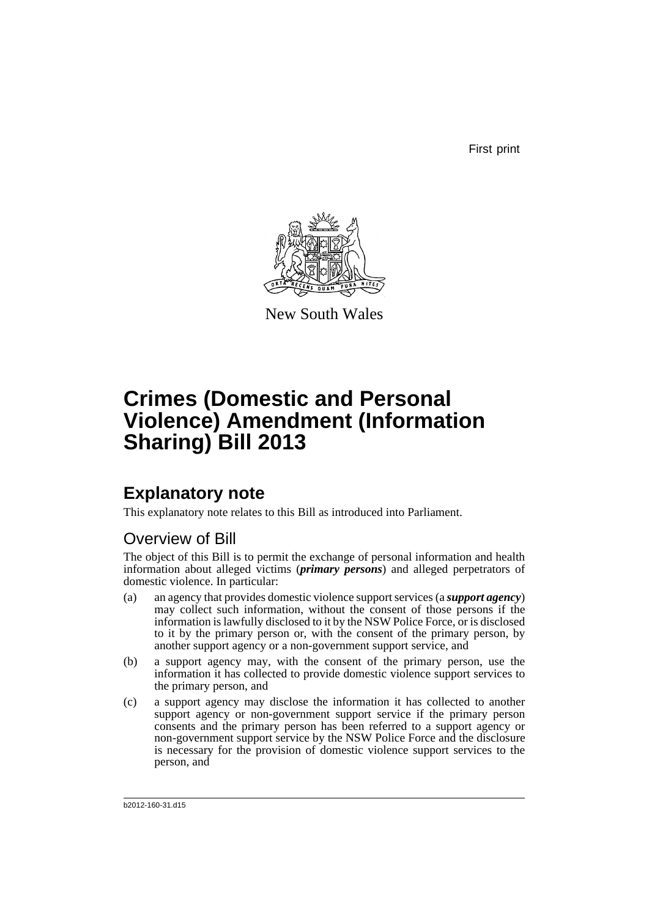First print



New South Wales

# **Crimes (Domestic and Personal Violence) Amendment (Information Sharing) Bill 2013**

# **Explanatory note**

This explanatory note relates to this Bill as introduced into Parliament.

## Overview of Bill

The object of this Bill is to permit the exchange of personal information and health information about alleged victims (*primary persons*) and alleged perpetrators of domestic violence. In particular:

- (a) an agency that provides domestic violence support services (a *support agency*) may collect such information, without the consent of those persons if the information is lawfully disclosed to it by the NSW Police Force, or is disclosed to it by the primary person or, with the consent of the primary person, by another support agency or a non-government support service, and
- (b) a support agency may, with the consent of the primary person, use the information it has collected to provide domestic violence support services to the primary person, and
- (c) a support agency may disclose the information it has collected to another support agency or non-government support service if the primary person consents and the primary person has been referred to a support agency or non-government support service by the NSW Police Force and the disclosure is necessary for the provision of domestic violence support services to the person, and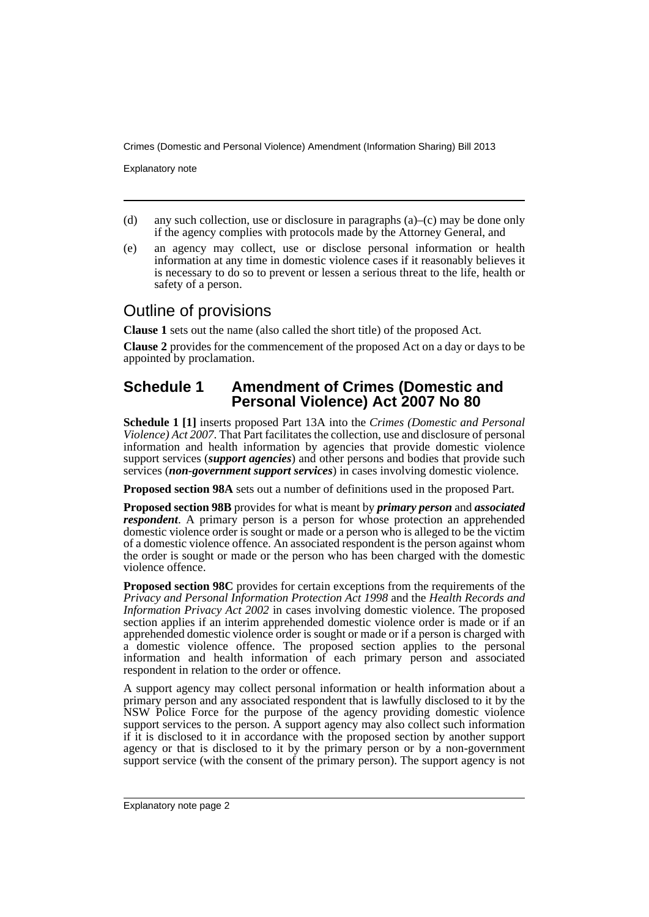Explanatory note

- (d) any such collection, use or disclosure in paragraphs (a)–(c) may be done only if the agency complies with protocols made by the Attorney General, and
- (e) an agency may collect, use or disclose personal information or health information at any time in domestic violence cases if it reasonably believes it is necessary to do so to prevent or lessen a serious threat to the life, health or safety of a person.

## Outline of provisions

**Clause 1** sets out the name (also called the short title) of the proposed Act.

**Clause 2** provides for the commencement of the proposed Act on a day or days to be appointed by proclamation.

## **Schedule 1 Amendment of Crimes (Domestic and Personal Violence) Act 2007 No 80**

**Schedule 1 [1]** inserts proposed Part 13A into the *Crimes (Domestic and Personal Violence) Act 2007*. That Part facilitates the collection, use and disclosure of personal information and health information by agencies that provide domestic violence support services (*support agencies*) and other persons and bodies that provide such services (*non-government support services*) in cases involving domestic violence.

**Proposed section 98A** sets out a number of definitions used in the proposed Part.

**Proposed section 98B** provides for what is meant by *primary person* and *associated respondent*. A primary person is a person for whose protection an apprehended domestic violence order is sought or made or a person who is alleged to be the victim of a domestic violence offence. An associated respondent is the person against whom the order is sought or made or the person who has been charged with the domestic violence offence.

**Proposed section 98C** provides for certain exceptions from the requirements of the *Privacy and Personal Information Protection Act 1998* and the *Health Records and Information Privacy Act 2002* in cases involving domestic violence. The proposed section applies if an interim apprehended domestic violence order is made or if an apprehended domestic violence order is sought or made or if a person is charged with a domestic violence offence. The proposed section applies to the personal information and health information of each primary person and associated respondent in relation to the order or offence.

A support agency may collect personal information or health information about a primary person and any associated respondent that is lawfully disclosed to it by the NSW Police Force for the purpose of the agency providing domestic violence support services to the person. A support agency may also collect such information if it is disclosed to it in accordance with the proposed section by another support agency or that is disclosed to it by the primary person or by a non-government support service (with the consent of the primary person). The support agency is not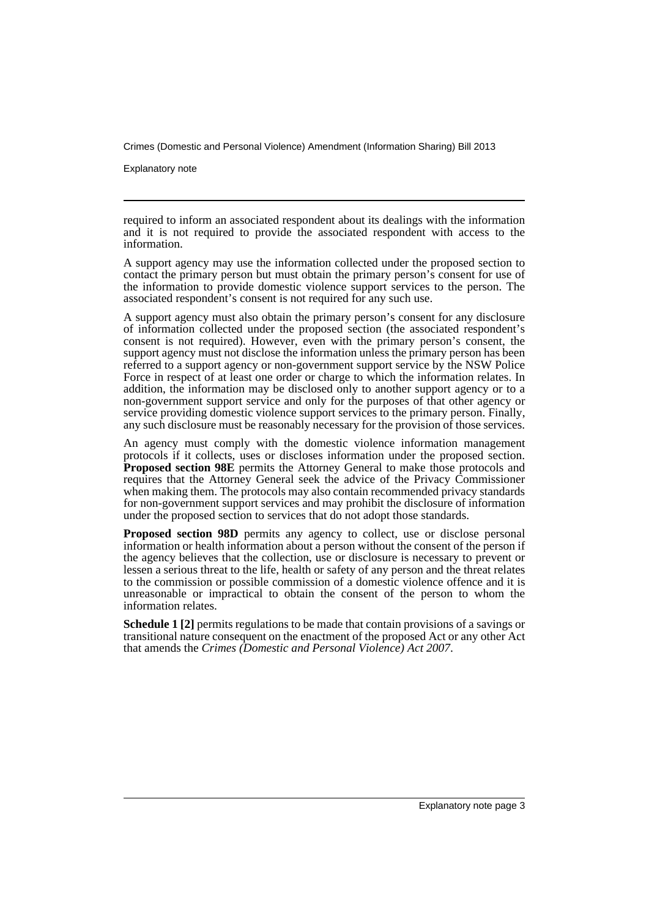Explanatory note

required to inform an associated respondent about its dealings with the information and it is not required to provide the associated respondent with access to the information.

A support agency may use the information collected under the proposed section to contact the primary person but must obtain the primary person's consent for use of the information to provide domestic violence support services to the person. The associated respondent's consent is not required for any such use.

A support agency must also obtain the primary person's consent for any disclosure of information collected under the proposed section (the associated respondent's consent is not required). However, even with the primary person's consent, the support agency must not disclose the information unless the primary person has been referred to a support agency or non-government support service by the NSW Police Force in respect of at least one order or charge to which the information relates. In addition, the information may be disclosed only to another support agency or to a non-government support service and only for the purposes of that other agency or service providing domestic violence support services to the primary person. Finally, any such disclosure must be reasonably necessary for the provision of those services.

An agency must comply with the domestic violence information management protocols if it collects, uses or discloses information under the proposed section. **Proposed section 98E** permits the Attorney General to make those protocols and requires that the Attorney General seek the advice of the Privacy Commissioner when making them. The protocols may also contain recommended privacy standards for non-government support services and may prohibit the disclosure of information under the proposed section to services that do not adopt those standards.

**Proposed section 98D** permits any agency to collect, use or disclose personal information or health information about a person without the consent of the person if the agency believes that the collection, use or disclosure is necessary to prevent or lessen a serious threat to the life, health or safety of any person and the threat relates to the commission or possible commission of a domestic violence offence and it is unreasonable or impractical to obtain the consent of the person to whom the information relates.

**Schedule 1 [2]** permits regulations to be made that contain provisions of a savings or transitional nature consequent on the enactment of the proposed Act or any other Act that amends the *Crimes (Domestic and Personal Violence) Act 2007*.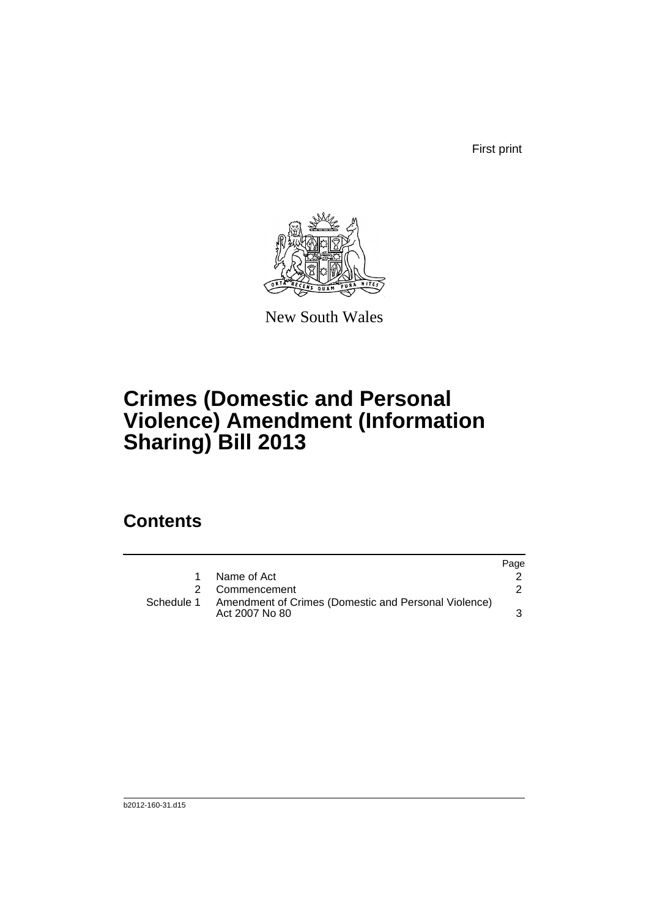First print



New South Wales

# **Crimes (Domestic and Personal Violence) Amendment (Information Sharing) Bill 2013**

# **Contents**

|   |                                                                                   | Page |
|---|-----------------------------------------------------------------------------------|------|
| 1 | Name of Act                                                                       |      |
|   | 2 Commencement                                                                    |      |
|   | Schedule 1 Amendment of Crimes (Domestic and Personal Violence)<br>Act 2007 No 80 |      |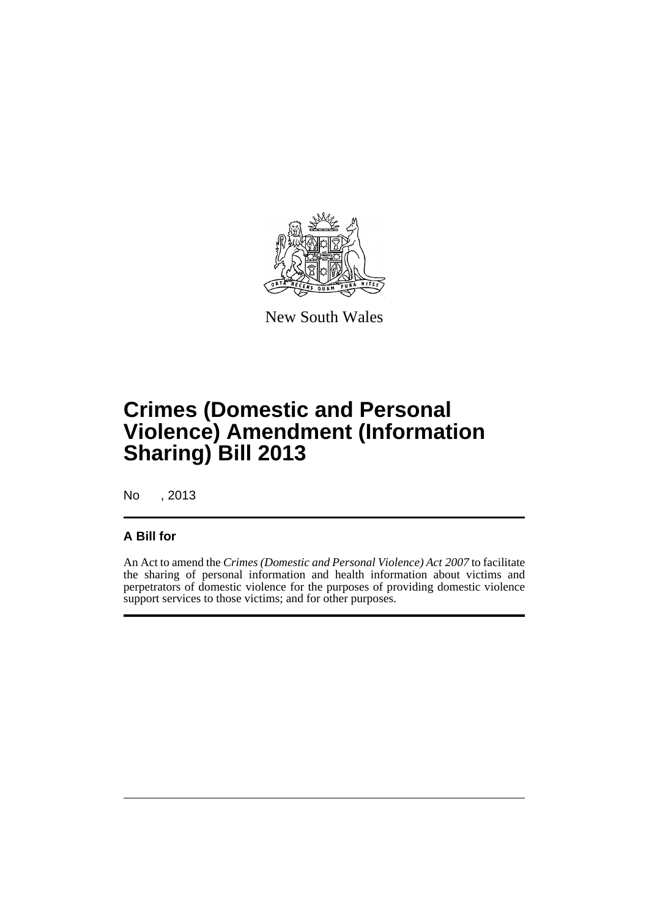

New South Wales

# **Crimes (Domestic and Personal Violence) Amendment (Information Sharing) Bill 2013**

No , 2013

### **A Bill for**

An Act to amend the *Crimes (Domestic and Personal Violence) Act 2007* to facilitate the sharing of personal information and health information about victims and perpetrators of domestic violence for the purposes of providing domestic violence support services to those victims; and for other purposes.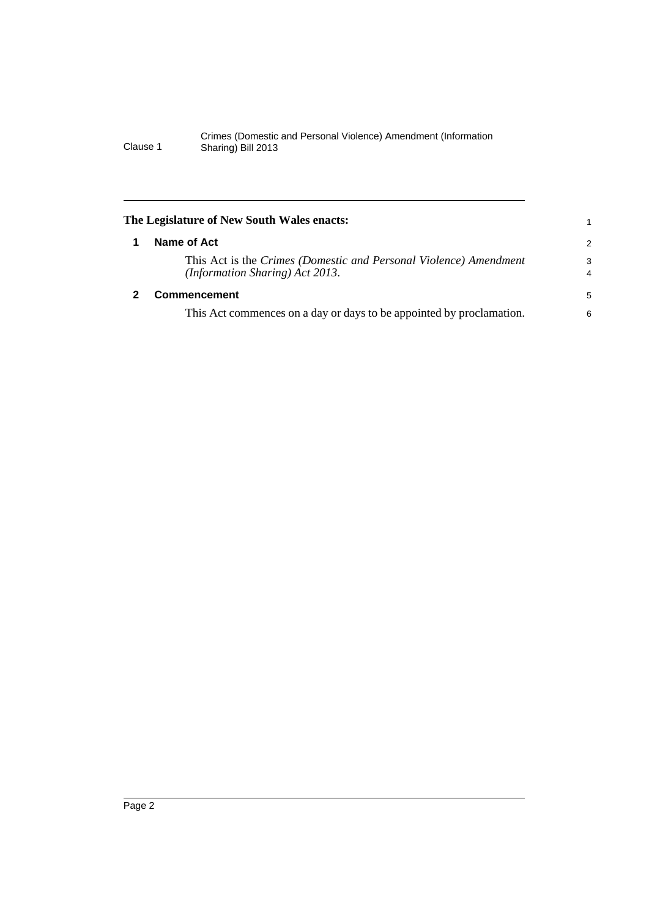<span id="page-7-1"></span><span id="page-7-0"></span>

| The Legislature of New South Wales enacts:                                                           |                     |
|------------------------------------------------------------------------------------------------------|---------------------|
| Name of Act                                                                                          | 2                   |
| This Act is the Crimes (Domestic and Personal Violence) Amendment<br>(Information Sharing) Act 2013. | 3<br>$\overline{4}$ |
| <b>Commencement</b>                                                                                  | 5                   |
| This Act commences on a day or days to be appointed by proclamation.                                 | 6                   |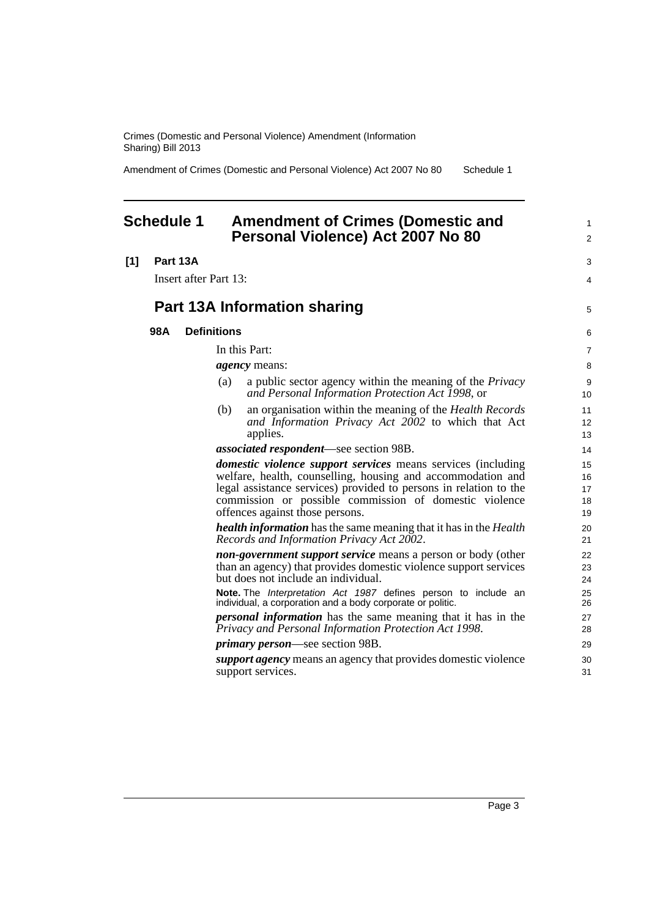Amendment of Crimes (Domestic and Personal Violence) Act 2007 No 80 Schedule 1

### <span id="page-8-0"></span>**Schedule 1 Amendment of Crimes (Domestic and Personal Violence) Act 2007 No 80**

| [1] | Part 13A |
|-----|----------|
|     |          |

Insert after Part 13:

## **Part 13A Information sharing**

### **98A Definitions**

In this Part:

*agency* means:

- (a) a public sector agency within the meaning of the *Privacy and Personal Information Protection Act 1998*, or
- (b) an organisation within the meaning of the *Health Records and Information Privacy Act 2002* to which that Act applies.

*associated respondent*—see section 98B.

*domestic violence support services* means services (including welfare, health, counselling, housing and accommodation and legal assistance services) provided to persons in relation to the commission or possible commission of domestic violence offences against those persons.

*health information* has the same meaning that it has in the *Health Records and Information Privacy Act 2002*.

*non-government support service* means a person or body (other than an agency) that provides domestic violence support services but does not include an individual.

**Note.** The *Interpretation Act 1987* defines person to include an individual, a corporation and a body corporate or politic.

*personal information* has the same meaning that it has in the *Privacy and Personal Information Protection Act 1998*.

*primary person*—see section 98B.

*support agency* means an agency that provides domestic violence support services.

1  $\overline{2}$ 

 $\overline{a}$ 4

5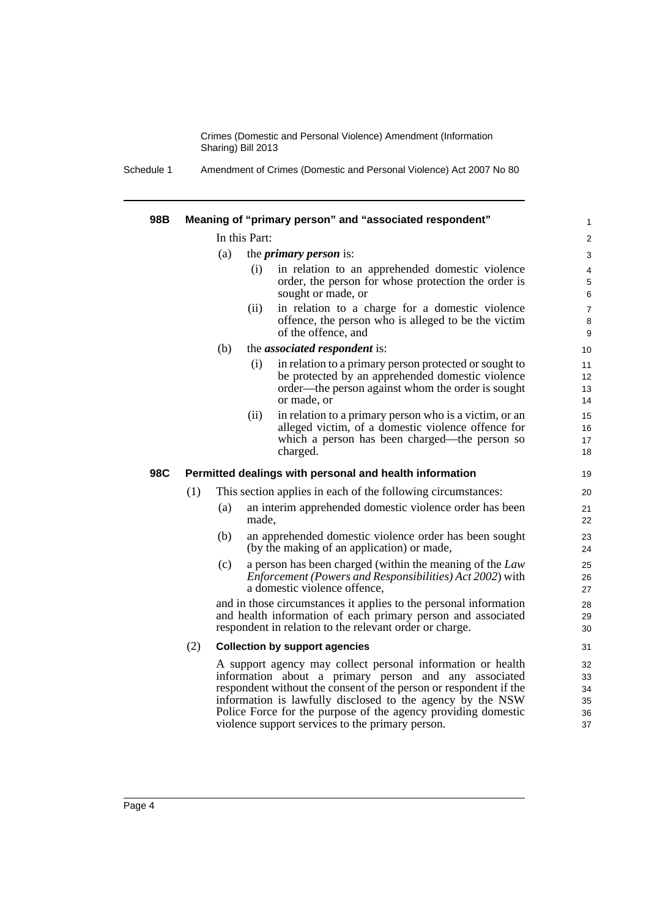Schedule 1 Amendment of Crimes (Domestic and Personal Violence) Act 2007 No 80

| 98B |               |     |       | Meaning of "primary person" and "associated respondent"                                                                                                                                                                                                                                                                                                                      | 1                                |
|-----|---------------|-----|-------|------------------------------------------------------------------------------------------------------------------------------------------------------------------------------------------------------------------------------------------------------------------------------------------------------------------------------------------------------------------------------|----------------------------------|
|     | In this Part: |     |       |                                                                                                                                                                                                                                                                                                                                                                              | 2                                |
|     |               | (a) |       | the <i>primary person</i> is:                                                                                                                                                                                                                                                                                                                                                | 3                                |
|     |               |     | (i)   | in relation to an apprehended domestic violence<br>order, the person for whose protection the order is<br>sought or made, or                                                                                                                                                                                                                                                 | 4<br>$\,$ 5 $\,$<br>6            |
|     |               |     | (ii)  | in relation to a charge for a domestic violence<br>offence, the person who is alleged to be the victim<br>of the offence, and                                                                                                                                                                                                                                                | $\boldsymbol{7}$<br>$\bf 8$<br>9 |
|     |               | (b) |       | the <i>associated respondent</i> is:                                                                                                                                                                                                                                                                                                                                         | 10                               |
|     |               |     | (i)   | in relation to a primary person protected or sought to<br>be protected by an apprehended domestic violence<br>order—the person against whom the order is sought<br>or made, or                                                                                                                                                                                               | 11<br>12<br>13<br>14             |
|     |               |     | (ii)  | in relation to a primary person who is a victim, or an<br>alleged victim, of a domestic violence offence for<br>which a person has been charged—the person so<br>charged.                                                                                                                                                                                                    | 15<br>16<br>17<br>18             |
| 98C |               |     |       | Permitted dealings with personal and health information                                                                                                                                                                                                                                                                                                                      | 19                               |
|     | (1)           |     |       | This section applies in each of the following circumstances:                                                                                                                                                                                                                                                                                                                 | 20                               |
|     |               | (a) | made, | an interim apprehended domestic violence order has been                                                                                                                                                                                                                                                                                                                      | 21<br>22                         |
|     |               | (b) |       | an apprehended domestic violence order has been sought<br>(by the making of an application) or made,                                                                                                                                                                                                                                                                         | 23<br>24                         |
|     |               | (c) |       | a person has been charged (within the meaning of the Law<br><i>Enforcement (Powers and Responsibilities) Act 2002)</i> with<br>a domestic violence offence,                                                                                                                                                                                                                  | 25<br>26<br>27                   |
|     |               |     |       | and in those circumstances it applies to the personal information<br>and health information of each primary person and associated<br>respondent in relation to the relevant order or charge.                                                                                                                                                                                 | 28<br>29<br>30                   |
|     | (2)           |     |       | <b>Collection by support agencies</b>                                                                                                                                                                                                                                                                                                                                        | 31                               |
|     |               |     |       | A support agency may collect personal information or health<br>information about a primary person and any associated<br>respondent without the consent of the person or respondent if the<br>information is lawfully disclosed to the agency by the NSW<br>Police Force for the purpose of the agency providing domestic<br>violence support services to the primary person. | 32<br>33<br>34<br>35<br>36<br>37 |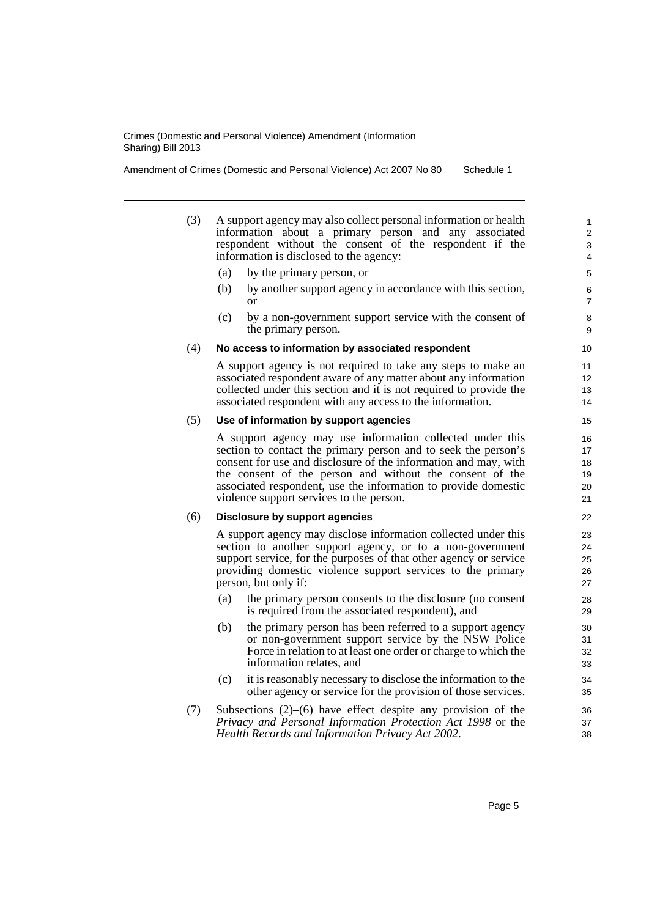Amendment of Crimes (Domestic and Personal Violence) Act 2007 No 80 Schedule 1

- (3) A support agency may also collect personal information or health information about a primary person and any associated respondent without the consent of the respondent if the information is disclosed to the agency:
	- (a) by the primary person, or
	- (b) by another support agency in accordance with this section, or
	- (c) by a non-government support service with the consent of the primary person.

### (4) **No access to information by associated respondent**

A support agency is not required to take any steps to make an associated respondent aware of any matter about any information collected under this section and it is not required to provide the associated respondent with any access to the information.

#### (5) **Use of information by support agencies**

A support agency may use information collected under this section to contact the primary person and to seek the person's consent for use and disclosure of the information and may, with the consent of the person and without the consent of the associated respondent, use the information to provide domestic violence support services to the person.

### (6) **Disclosure by support agencies**

A support agency may disclose information collected under this section to another support agency, or to a non-government support service, for the purposes of that other agency or service providing domestic violence support services to the primary person, but only if:

- (a) the primary person consents to the disclosure (no consent is required from the associated respondent), and
- (b) the primary person has been referred to a support agency or non-government support service by the NSW Police Force in relation to at least one order or charge to which the information relates, and
- (c) it is reasonably necessary to disclose the information to the other agency or service for the provision of those services.
- (7) Subsections (2)–(6) have effect despite any provision of the *Privacy and Personal Information Protection Act 1998* or the *Health Records and Information Privacy Act 2002*.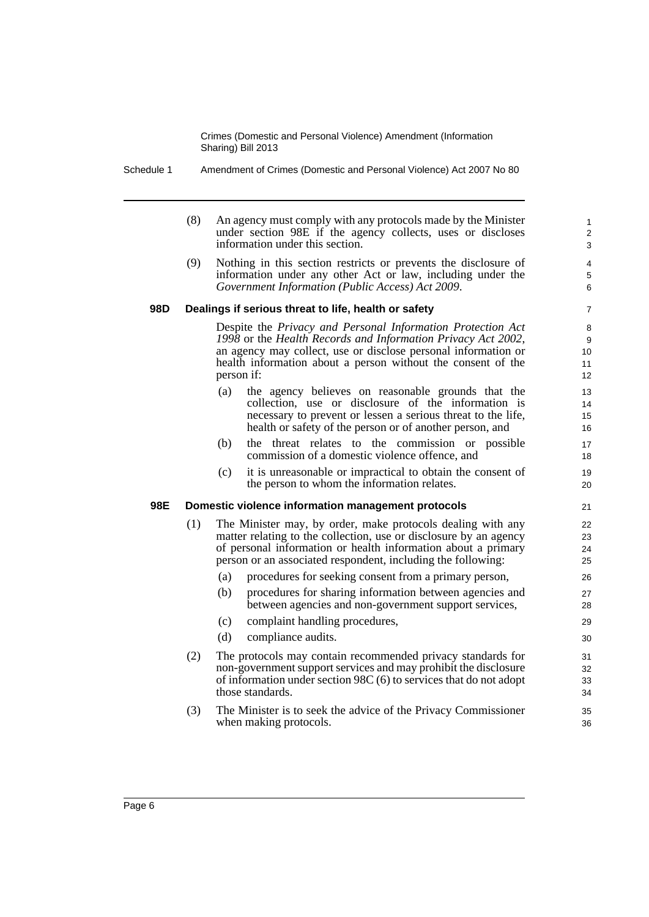Schedule 1 Amendment of Crimes (Domestic and Personal Violence) Act 2007 No 80

|     | (8) | An agency must comply with any protocols made by the Minister<br>under section 98E if the agency collects, uses or discloses<br>information under this section.                                                                                                             | 1<br>$\overline{c}$<br>3 |
|-----|-----|-----------------------------------------------------------------------------------------------------------------------------------------------------------------------------------------------------------------------------------------------------------------------------|--------------------------|
|     | (9) | Nothing in this section restricts or prevents the disclosure of<br>information under any other Act or law, including under the<br>Government Information (Public Access) Act 2009.                                                                                          | 4<br>$\,$ 5 $\,$<br>6    |
| 98D |     | Dealings if serious threat to life, health or safety                                                                                                                                                                                                                        | 7                        |
|     |     | Despite the Privacy and Personal Information Protection Act<br>1998 or the Health Records and Information Privacy Act 2002,<br>an agency may collect, use or disclose personal information or<br>health information about a person without the consent of the<br>person if: | 8<br>9<br>10<br>11<br>12 |
|     |     | (a)<br>the agency believes on reasonable grounds that the<br>collection, use or disclosure of the information is<br>necessary to prevent or lessen a serious threat to the life,<br>health or safety of the person or of another person, and                                | 13<br>14<br>15<br>16     |
|     |     | the threat relates to the commission or possible<br>(b)<br>commission of a domestic violence offence, and                                                                                                                                                                   | 17<br>18                 |
|     |     | (c)<br>it is unreasonable or impractical to obtain the consent of<br>the person to whom the information relates.                                                                                                                                                            | 19<br>20                 |
| 98E |     | Domestic violence information management protocols                                                                                                                                                                                                                          | 21                       |
|     | (1) | The Minister may, by order, make protocols dealing with any<br>matter relating to the collection, use or disclosure by an agency<br>of personal information or health information about a primary<br>person or an associated respondent, including the following:           | 22<br>23<br>24<br>25     |
|     |     | procedures for seeking consent from a primary person,<br>(a)                                                                                                                                                                                                                | 26                       |
|     |     | (b)<br>procedures for sharing information between agencies and<br>between agencies and non-government support services,                                                                                                                                                     | 27<br>28                 |
|     |     | complaint handling procedures,<br>(c)                                                                                                                                                                                                                                       | 29                       |
|     |     | (d)<br>compliance audits.                                                                                                                                                                                                                                                   | 30                       |
|     | (2) | The protocols may contain recommended privacy standards for<br>non-government support services and may prohibit the disclosure<br>of information under section $98C(6)$ to services that do not adopt<br>those standards.                                                   | 31<br>32<br>33<br>34     |
|     | (3) | The Minister is to seek the advice of the Privacy Commissioner<br>when making protocols.                                                                                                                                                                                    | 35<br>36                 |

Page 6